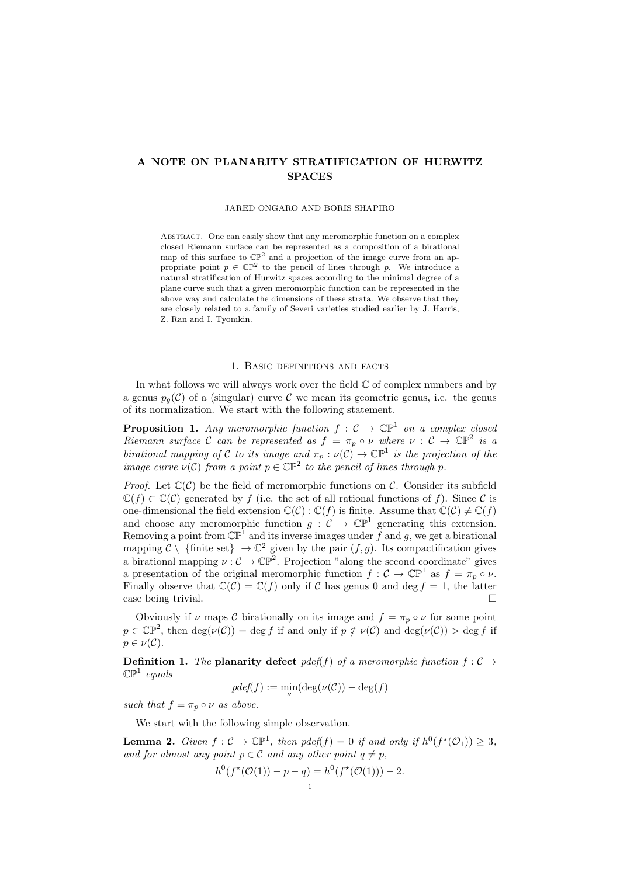# A NOTE ON PLANARITY STRATIFICATION OF HURWITZ SPACES

## JARED ONGARO AND BORIS SHAPIRO

ABSTRACT. One can easily show that any meromorphic function on a complex closed Riemann surface can be represented as a composition of a birational map of this surface to  $\mathbb{CP}^2$  and a projection of the image curve from an appropriate point  $p \in \mathbb{CP}^2$  to the pencil of lines through p. We introduce a natural stratification of Hurwitz spaces according to the minimal degree of a plane curve such that a given meromorphic function can be represented in the above way and calculate the dimensions of these strata. We observe that they are closely related to a family of Severi varieties studied earlier by J. Harris, Z. Ran and I. Tyomkin.

### 1. Basic definitions and facts

In what follows we will always work over the field  $\mathbb C$  of complex numbers and by a genus  $p_q(\mathcal{C})$  of a (singular) curve  $\mathcal C$  we mean its geometric genus, i.e. the genus of its normalization. We start with the following statement.

**Proposition 1.** Any meromorphic function  $f: \mathcal{C} \to \mathbb{CP}^1$  on a complex closed Riemann surface C can be represented as  $f = \pi_p \circ \nu$  where  $\nu : C \to \mathbb{CP}^2$  is a birational mapping of C to its image and  $\pi_p : \nu(C) \to \mathbb{CP}^1$  is the projection of the image curve  $\nu(\mathcal{C})$  from a point  $p \in \mathbb{CP}^2$  to the pencil of lines through p.

*Proof.* Let  $\mathbb{C}(\mathcal{C})$  be the field of meromorphic functions on  $\mathcal{C}$ . Consider its subfield  $\mathbb{C}(f) \subset \mathbb{C}(\mathcal{C})$  generated by f (i.e. the set of all rational functions of f). Since  $\mathcal{C}$  is one-dimensional the field extension  $\mathbb{C}(\mathcal{C}) : \mathbb{C}(f)$  is finite. Assume that  $\mathbb{C}(\mathcal{C}) \neq \mathbb{C}(f)$ and choose any meromorphic function  $g: \mathcal{C} \to \mathbb{CP}^1$  generating this extension. Removing a point from  $\mathbb{CP}^1$  and its inverse images under f and g, we get a birational mapping  $C \setminus \{\text{finite set}\}\to \mathbb{C}^2$  given by the pair  $(f, g)$ . Its compactification gives a birational mapping  $\nu : \mathcal{C} \to \mathbb{CP}^2$ . Projection "along the second coordinate" gives a presentation of the original meromorphic function  $f: \mathcal{C} \to \mathbb{CP}^1$  as  $f = \pi_p \circ \nu$ . Finally observe that  $\mathbb{C}(\mathcal{C}) = \mathbb{C}(f)$  only if C has genus 0 and deg  $f = 1$ , the latter case being trivial.

Obviously if  $\nu$  maps C birationally on its image and  $f = \pi_p \circ \nu$  for some point  $p \in \mathbb{CP}^2$ , then  $\deg(\nu(\mathcal{C})) = \deg f$  if and only if  $p \notin \nu(\mathcal{C})$  and  $\deg(\nu(\mathcal{C})) > \deg f$  if  $p \in \nu(\mathcal{C}).$ 

**Definition 1.** The planarity defect pdef(f) of a meromorphic function  $f : C \rightarrow$  $\mathbb{CP}^1$  equals

$$
pdef(f) := \min_{\nu} (\deg(\nu(C)) - \deg(f))
$$

such that  $f = \pi_p \circ \nu$  as above.

We start with the following simple observation.

**Lemma 2.** Given  $f: \mathcal{C} \to \mathbb{CP}^1$ , then  $pdef(f) = 0$  if and only if  $h^0(f^*(\mathcal{O}_1)) \geq 3$ , and for almost any point  $p \in \mathcal{C}$  and any other point  $q \neq p$ ,

$$
h^{0}(f^{\star}(\mathcal{O}(1)) - p - q) = h^{0}(f^{\star}(\mathcal{O}(1))) - 2.
$$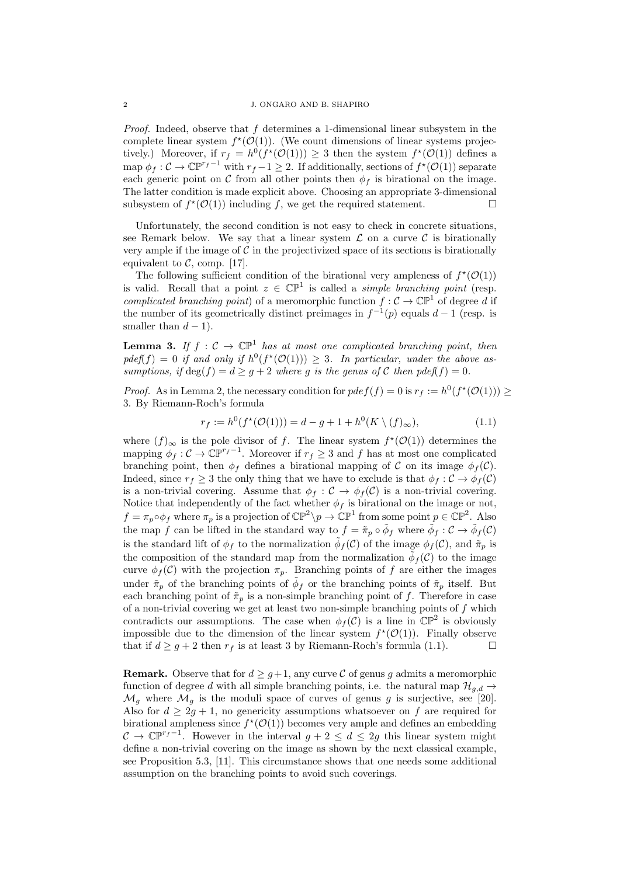*Proof.* Indeed, observe that  $f$  determines a 1-dimensional linear subsystem in the complete linear system  $f^*(\mathcal{O}(1))$ . (We count dimensions of linear systems projectively.) Moreover, if  $r_f = h^0(f^*(\mathcal{O}(1))) \geq 3$  then the system  $f^*(\mathcal{O}(1))$  defines a map  $\phi_f: \mathcal{C} \to \mathbb{CP}^{r_f-1}$  with  $r_f-1 \geq 2$ . If additionally, sections of  $f^*(\mathcal{O}(1))$  separate each generic point on C from all other points then  $\phi_f$  is birational on the image. The latter condition is made explicit above. Choosing an appropriate 3-dimensional subsystem of  $f^{\star}(\mathcal{O}(1))$  including f, we get the required statement.

Unfortunately, the second condition is not easy to check in concrete situations, see Remark below. We say that a linear system  $\mathcal L$  on a curve  $\mathcal C$  is birationally very ample if the image of  $\mathcal C$  in the projectivized space of its sections is birationally equivalent to  $C$ , comp. [17].

The following sufficient condition of the birational very ampleness of  $f^{\star}(\mathcal{O}(1))$ is valid. Recall that a point  $z \in \mathbb{CP}^1$  is called a *simple branching point* (resp. complicated branching point) of a meromorphic function  $f: \mathcal{C} \to \mathbb{CP}^1$  of degree d if the number of its geometrically distinct preimages in  $f^{-1}(p)$  equals  $d-1$  (resp. is smaller than  $d-1$ ).

**Lemma 3.** If  $f : C \to \mathbb{CP}^1$  has at most one complicated branching point, then  $pdef(f) = 0$  if and only if  $h^0(f^{\star}(\mathcal{O}(1))) \geq 3$ . In particular, under the above assumptions, if  $\deg(f) = d \geq g + 2$  where g is the genus of C then pdef(f) = 0.

*Proof.* As in Lemma 2, the necessary condition for  $pdef(f) = 0$  is  $r_f := h^0(f^*(\mathcal{O}(1))) \ge$ 3. By Riemann-Roch's formula

$$
r_f := h^0(f^*(\mathcal{O}(1))) = d - g + 1 + h^0(K \setminus (f)_{\infty}),
$$
\n(1.1)

where  $(f)_{\infty}$  is the pole divisor of f. The linear system  $f^{\star}(\mathcal{O}(1))$  determines the mapping  $\phi_f : \mathcal{C} \to \mathbb{CP}^{r_f-1}$ . Moreover if  $r_f \geq 3$  and f has at most one complicated branching point, then  $\phi_f$  defines a birational mapping of C on its image  $\phi_f(\mathcal{C})$ . Indeed, since  $r_f \geq 3$  the only thing that we have to exclude is that  $\phi_f : C \to \phi_f(C)$ is a non-trivial covering. Assume that  $\phi_f : C \to \phi_f(C)$  is a non-trivial covering. Notice that independently of the fact whether  $\phi_f$  is birational on the image or not,  $f = \pi_p \circ \phi_f$  where  $\pi_p$  is a projection of  $\mathbb{CP}^2 \setminus p \to \mathbb{CP}^1$  from some point  $p \in \mathbb{CP}^2$ . Also the map f can be lifted in the standard way to  $f = \tilde{\pi}_p \circ \tilde{\phi}_f$  where  $\tilde{\phi}_f : C \to \tilde{\phi}_f(C)$ is the standard lift of  $\phi_f$  to the normalization  $\tilde{\phi}_f(\mathcal{C})$  of the image  $\phi_f(\mathcal{C})$ , and  $\tilde{\pi}_p$  is the composition of the standard map from the normalization  $\tilde{\phi}_f(\mathcal{C})$  to the image curve  $\phi_f(\mathcal{C})$  with the projection  $\pi_p$ . Branching points of f are either the images under  $\tilde{\pi}_p$  of the branching points of  $\tilde{\phi}_f$  or the branching points of  $\tilde{\pi}_p$  itself. But each branching point of  $\tilde{\pi}_p$  is a non-simple branching point of f. Therefore in case of a non-trivial covering we get at least two non-simple branching points of  $f$  which contradicts our assumptions. The case when  $\phi_f(C)$  is a line in  $\mathbb{CP}^2$  is obviously impossible due to the dimension of the linear system  $f^{\star}(\mathcal{O}(1))$ . Finally observe that if  $d \geq g+2$  then  $r_f$  is at least 3 by Riemann-Roch's formula (1.1).

**Remark.** Observe that for  $d \geq q+1$ , any curve C of genus g admits a meromorphic function of degree d with all simple branching points, i.e. the natural map  $\mathcal{H}_{g,d} \rightarrow$  $\mathcal{M}_g$  where  $\mathcal{M}_g$  is the moduli space of curves of genus g is surjective, see [20]. Also for  $d \geq 2g + 1$ , no genericity assumptions whatsoever on f are required for birational ampleness since  $f^*(\mathcal{O}(1))$  becomes very ample and defines an embedding  $\mathcal{C} \to \mathbb{CP}^{r_f-1}$ . However in the interval  $g+2 \leq d \leq 2g$  this linear system might define a non-trivial covering on the image as shown by the next classical example, see Proposition 5.3, [11]. This circumstance shows that one needs some additional assumption on the branching points to avoid such coverings.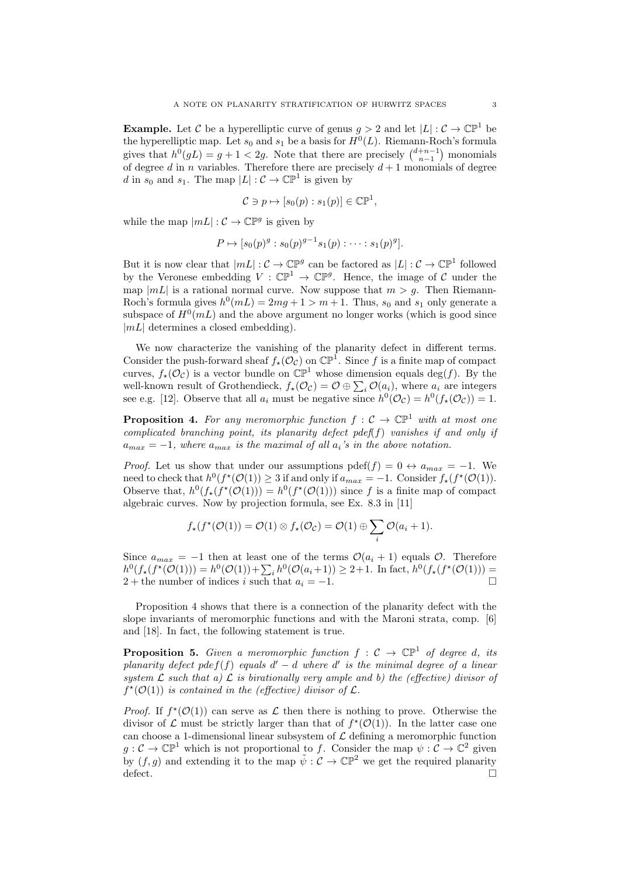**Example.** Let C be a hyperelliptic curve of genus  $g > 2$  and let  $|L| : \mathcal{C} \to \mathbb{CP}^1$  be the hyperelliptic map. Let  $s_0$  and  $s_1$  be a basis for  $H^0(L)$ . Riemann-Roch's formula gives that  $h^0(gL) = g + 1 < 2g$ . Note that there are precisely  $\binom{d+n-1}{n-1}$  monomials of degree d in n variables. Therefore there are precisely  $d+1$  monomials of degree d in  $s_0$  and  $s_1$ . The map  $|L|: \mathcal{C} \to \mathbb{CP}^1$  is given by

$$
\mathcal{C} \ni p \mapsto [s_0(p) : s_1(p)] \in \mathbb{CP}^1,
$$

while the map  $|mL| : \mathcal{C} \to \mathbb{CP}^g$  is given by

$$
P \mapsto [s_0(p)^g : s_0(p)^{g-1} s_1(p) : \cdots : s_1(p)^g].
$$

But it is now clear that  $|mL|: \mathcal{C} \to \mathbb{CP}^g$  can be factored as  $|L|: \mathcal{C} \to \mathbb{CP}^1$  followed by the Veronese embedding  $V : \mathbb{CP}^1 \to \mathbb{CP}^g$ . Hence, the image of C under the map  $|mL|$  is a rational normal curve. Now suppose that  $m > g$ . Then Riemann-Roch's formula gives  $h^0(mL) = 2mg + 1 > m + 1$ . Thus,  $s_0$  and  $s_1$  only generate a subspace of  $H^0(mL)$  and the above argument no longer works (which is good since  $|mL|$  determines a closed embedding).

We now characterize the vanishing of the planarity defect in different terms. Consider the push-forward sheaf  $f_{\star}(\mathcal{O}_{\mathcal{C}})$  on  $\mathbb{CP}^1$ . Since f is a finite map of compact curves,  $f_{\star}(\mathcal{O}_{\mathcal{C}})$  is a vector bundle on  $\mathbb{CP}^1$  whose dimension equals deg(f). By the well-known result of Grothendieck,  $f_{\star}(\mathcal{O}_{\mathcal{C}}) = \mathcal{O} \oplus \sum_{i} \mathcal{O}(a_i)$ , where  $a_i$  are integers see e.g. [12]. Observe that all  $a_i$  must be negative since  $h^0(\mathcal{O}_{\mathcal{C}}) = h^0(f_*(\mathcal{O}_{\mathcal{C}})) = 1$ .

**Proposition 4.** For any meromorphic function  $f: \mathcal{C} \to \mathbb{CP}^1$  with at most one complicated branching point, its planarity defect pdef( $f$ ) vanishes if and only if  $a_{max} = -1$ , where  $a_{max}$  is the maximal of all  $a_i$ 's in the above notation.

*Proof.* Let us show that under our assumptions pdef(f) = 0  $\leftrightarrow a_{max} = -1$ . We need to check that  $h^0(f^{\star}(\mathcal{O}(1)) \geq 3$  if and only if  $a_{max} = -1$ . Consider  $f_{\star}(f^{\star}(\mathcal{O}(1))$ . Observe that,  $h^0(f_*(\mathcal{O}(1))) = h^0(f^*(\mathcal{O}(1)))$  since f is a finite map of compact algebraic curves. Now by projection formula, see Ex. 8.3 in [11]

$$
f_{\star}(f^{\star}(\mathcal{O}(1)) = \mathcal{O}(1) \otimes f_{\star}(\mathcal{O}_{\mathcal{C}}) = \mathcal{O}(1) \oplus \sum_{i} \mathcal{O}(a_i + 1).
$$

Since  $a_{max} = -1$  then at least one of the terms  $\mathcal{O}(a_i + 1)$  equals  $\mathcal{O}$ . Therefore  $h^0(f_*(f^*(\mathcal{O}(1))) = h^0(\mathcal{O}(1)) + \sum_i h^0(\mathcal{O}(a_i+1)) \geq 2+1.$  In fact,  $h^0(f_*(f^*(\mathcal{O}(1))) =$ 2 + the number of indices i such that  $a_i = -1$ .

Proposition 4 shows that there is a connection of the planarity defect with the slope invariants of meromorphic functions and with the Maroni strata, comp. [6] and [18]. In fact, the following statement is true.

**Proposition 5.** Given a meromorphic function  $f : \mathcal{C} \to \mathbb{CP}^1$  of degree d, its planarity defect pde $f(f)$  equals  $d' - d$  where  $d'$  is the minimal degree of a linear system  $\mathcal L$  such that a)  $\mathcal L$  is birationally very ample and b) the (effective) divisor of  $f^{\star}(\mathcal{O}(1))$  is contained in the (effective) divisor of  $\mathcal{L}$ .

*Proof.* If  $f^{\star}(\mathcal{O}(1))$  can serve as  $\mathcal L$  then there is nothing to prove. Otherwise the divisor of L must be strictly larger than that of  $f^{\star}(\mathcal{O}(1))$ . In the latter case one can choose a 1-dimensional linear subsystem of  $\mathcal L$  defining a meromorphic function  $g: \mathcal{C} \to \mathbb{CP}^1$  which is not proportional to f. Consider the map  $\psi: \mathcal{C} \to \mathbb{C}^2$  given by  $(f, g)$  and extending it to the map  $\tilde{\psi}: \mathcal{C} \to \mathbb{CP}^2$  we get the required planarity defect.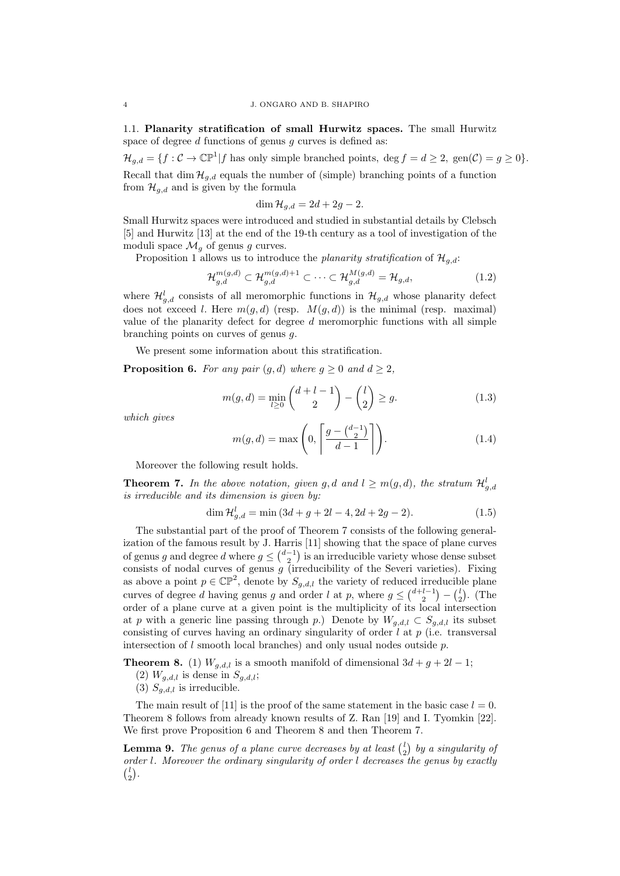1.1. Planarity stratification of small Hurwitz spaces. The small Hurwitz space of degree  $d$  functions of genus  $q$  curves is defined as:

 $\mathcal{H}_{g,d} = \{f : \mathcal{C} \to \mathbb{CP}^1 | f \text{ has only simple branched points, } \deg f = d \geq 2, \text{ gen}(\mathcal{C}) = g \geq 0 \}.$ 

Recall that dim  $\mathcal{H}_{q,d}$  equals the number of (simple) branching points of a function from  $\mathcal{H}_{q,d}$  and is given by the formula

$$
\dim \mathcal{H}_{g,d} = 2d + 2g - 2.
$$

Small Hurwitz spaces were introduced and studied in substantial details by Clebsch [5] and Hurwitz [13] at the end of the 19-th century as a tool of investigation of the moduli space  $\mathcal{M}_q$  of genus g curves.

Proposition 1 allows us to introduce the planarity stratification of  $\mathcal{H}_{q,d}$ :

$$
\mathcal{H}_{g,d}^{m(g,d)} \subset \mathcal{H}_{g,d}^{m(g,d)+1} \subset \cdots \subset \mathcal{H}_{g,d}^{M(g,d)} = \mathcal{H}_{g,d},\tag{1.2}
$$

where  $\mathcal{H}_{g,d}^{l}$  consists of all meromorphic functions in  $\mathcal{H}_{g,d}$  whose planarity defect does not exceed l. Here  $m(g, d)$  (resp.  $M(g, d)$ ) is the minimal (resp. maximal) value of the planarity defect for degree d meromorphic functions with all simple branching points on curves of genus g.

We present some information about this stratification.

**Proposition 6.** For any pair  $(g, d)$  where  $g \ge 0$  and  $d \ge 2$ ,

$$
m(g,d) = \min_{l \ge 0} \binom{d+l-1}{2} - \binom{l}{2} \ge g. \tag{1.3}
$$

which gives

$$
m(g,d) = \max\left(0, \left\lceil \frac{g - \binom{d-1}{2}}{d-1} \right\rceil \right). \tag{1.4}
$$

Moreover the following result holds.

**Theorem 7.** In the above notation, given g, d and  $l \geq m(g,d)$ , the stratum  $\mathcal{H}_{g,d}^l$ is irreducible and its dimension is given by:

$$
\dim \mathcal{H}_{g,d}^l = \min (3d + g + 2l - 4, 2d + 2g - 2). \tag{1.5}
$$

The substantial part of the proof of Theorem 7 consists of the following generalization of the famous result by J. Harris [11] showing that the space of plane curves of genus g and degree d where  $g \leq {d-1 \choose 2}$  is an irreducible variety whose dense subset consists of nodal curves of genus  $g$  (irreducibility of the Severi varieties). Fixing as above a point  $p \in \mathbb{CP}^2$ , denote by  $S_{g,d,l}$  the variety of reduced irreducible plane curves of degree d having genus g and order l at p, where  $g \leq {d+l-1 \choose 2} - {l \choose 2}$ . (The order of a plane curve at a given point is the multiplicity of its local intersection at p with a generic line passing through p.) Denote by  $W_{q,d,l} \subset S_{q,d,l}$  its subset consisting of curves having an ordinary singularity of order  $l$  at  $p$  (i.e. transversal intersection of l smooth local branches) and only usual nodes outside p.

**Theorem 8.** (1)  $W_{g,d,l}$  is a smooth manifold of dimensional  $3d + g + 2l - 1$ ;

- (2)  $W_{g,d,l}$  is dense in  $S_{g,d,l}$ ;
- (3)  $S_{q,d,l}$  is irreducible.

The main result of [11] is the proof of the same statement in the basic case  $l = 0$ . Theorem 8 follows from already known results of Z. Ran [19] and I. Tyomkin [22]. We first prove Proposition 6 and Theorem 8 and then Theorem 7.

**Lemma 9.** The genus of a plane curve decreases by at least  $\begin{pmatrix} 1 \\ 2 \end{pmatrix}$  by a singularity of order l. Moreover the ordinary singularity of order l decreases the genus by exactly  $\binom{l}{2}$ .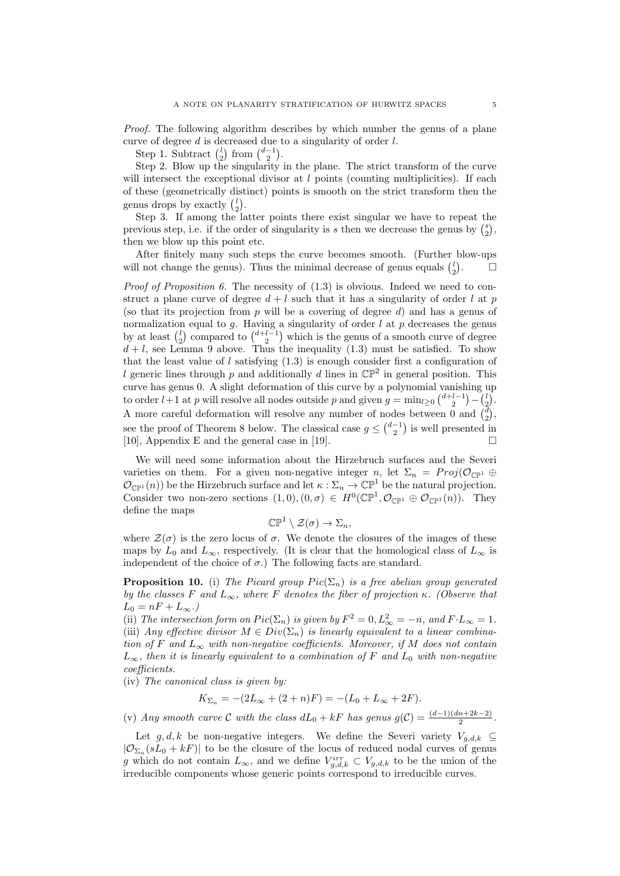Proof. The following algorithm describes by which number the genus of a plane curve of degree d is decreased due to a singularity of order l.

Step 1. Subtract  $\binom{l}{2}$  from  $\binom{d-1}{2}$ .

Step 2. Blow up the singularity in the plane. The strict transform of the curve will intersect the exceptional divisor at  $l$  points (counting multiplicities). If each of these (geometrically distinct) points is smooth on the strict transform then the genus drops by exactly  $\binom{l}{2}$ .

Step 3. If among the latter points there exist singular we have to repeat the previous step, i.e. if the order of singularity is s then we decrease the genus by  $\binom{s}{2}$ , then we blow up this point etc.

After finitely many such steps the curve becomes smooth. (Further blow-ups will not change the genus). Thus the minimal decrease of genus equals  $\binom{l}{2}$  $\Box$ 

*Proof of Proposition 6.* The necessity of  $(1.3)$  is obvious. Indeed we need to construct a plane curve of degree  $d + l$  such that it has a singularity of order l at p (so that its projection from  $p$  will be a covering of degree  $d$ ) and has a genus of normalization equal to g. Having a singularity of order  $l$  at  $p$  decreases the genus by at least  $\binom{l}{2}$  compared to  $\binom{d+l-1}{2}$  which is the genus of a smooth curve of degree  $d + l$ , see Lemma 9 above. Thus the inequality (1.3) must be satisfied. To show that the least value of l satisfying  $(1.3)$  is enough consider first a configuration of l generic lines through p and additionally d lines in  $\mathbb{CP}^2$  in general position. This curve has genus 0. A slight deformation of this curve by a polynomial vanishing up to order  $l+1$  at p will resolve all nodes outside p and given  $g = \min_{l \geq 0} {d+l-1 \choose 2} - {l \choose 2}$ . A more careful deformation will resolve any number of nodes between 0 and  $\binom{d}{2}$ , see the proof of Theorem 8 below. The classical case  $g \leq {d-1 \choose 2}$  is well presented in [10], Appendix E and the general case in [19].

We will need some information about the Hirzebruch surfaces and the Severi varieties on them. For a given non-negative integer n, let  $\Sigma_n = Proj(\mathcal{O}_{\mathbb{CP}^1} \oplus$  $\mathcal{O}_{\mathbb{CP}^1}(n)$  be the Hirzebruch surface and let  $\kappa : \Sigma_n \to \mathbb{CP}^1$  be the natural projection. Consider two non-zero sections  $(1,0), (0, \sigma) \in H^0(\mathbb{CP}^1, \mathcal{O}_{\mathbb{CP}^1} \oplus \mathcal{O}_{\mathbb{CP}^1}(n)).$  They define the maps

$$
\mathbb{CP}^1\setminus\mathcal{Z}(\sigma)\to\Sigma_n,
$$

where  $\mathcal{Z}(\sigma)$  is the zero locus of  $\sigma$ . We denote the closures of the images of these maps by  $L_0$  and  $L_{\infty}$ , respectively. (It is clear that the homological class of  $L_{\infty}$  is independent of the choice of  $\sigma$ .) The following facts are standard.

**Proposition 10.** (i) The Picard group  $Pic(\Sigma_n)$  is a free abelian group generated by the classes F and  $L_{\infty}$ , where F denotes the fiber of projection κ. (Observe that  $L_0 = nF + L_{\infty}$ .)

(ii) The intersection form on  $Pic(\Sigma_n)$  is given by  $F^2 = 0, L^2_{\infty} = -n$ , and  $F \cdot L_{\infty} = 1$ . (iii) Any effective divisor  $M \in Div(\Sigma_n)$  is linearly equivalent to a linear combination of F and  $L_{\infty}$  with non-negative coefficients. Moreover, if M does not contain  $L_{\infty}$ , then it is linearly equivalent to a combination of F and  $L_0$  with non-negative coefficients.

(iv) The canonical class is given by:

$$
K_{\Sigma_n} = -(2L_{\infty} + (2+n)F) = -(L_0 + L_{\infty} + 2F).
$$

(v) Any smooth curve C with the class  $dL_0 + kF$  has genus  $g(C) = \frac{(d-1)(dn+2k-2)}{2}$ .

Let g, d, k be non-negative integers. We define the Severi variety  $V_{g,d,k} \subseteq$  $|\mathcal{O}_{\Sigma_n}(sL_0 + kF)|$  to be the closure of the locus of reduced nodal curves of genus g which do not contain  $L_{\infty}$ , and we define  $V_{g,d,k}^{irr} \subset V_{g,d,k}$  to be the union of the irreducible components whose generic points correspond to irreducible curves.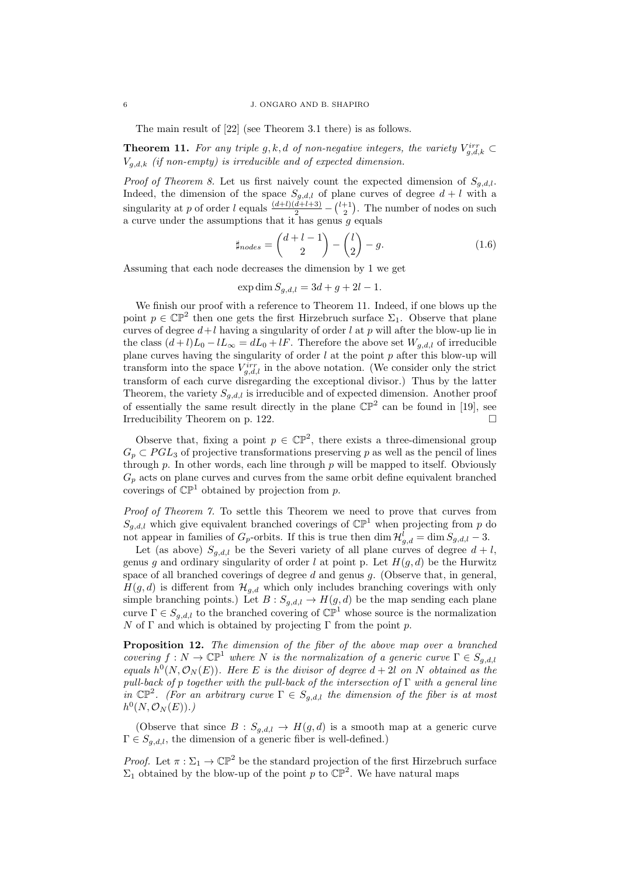#### 6 J. ONGARO AND B. SHAPIRO

The main result of [22] (see Theorem 3.1 there) is as follows.

**Theorem 11.** For any triple g, k, d of non-negative integers, the variety  $V_{g,d,k}^{irr} \subset$  $V_{a,d,k}$  (if non-empty) is irreducible and of expected dimension.

*Proof of Theorem 8.* Let us first naively count the expected dimension of  $S_{q,d,l}$ . Indeed, the dimension of the space  $S_{g,d,l}$  of plane curves of degree  $d+l$  with a singularity at p of order l equals  $\frac{(d+l)(d+l+3)}{2} - {l+1 \choose 2}$ . The number of nodes on such a curve under the assumptions that it has genus  $g$  equals

$$
\sharp_{nodes} = \binom{d+l-1}{2} - \binom{l}{2} - g. \tag{1.6}
$$

Assuming that each node decreases the dimension by 1 we get

$$
\exp \dim S_{g,d,l} = 3d + g + 2l - 1.
$$

We finish our proof with a reference to Theorem 11. Indeed, if one blows up the point  $p \in \mathbb{CP}^2$  then one gets the first Hirzebruch surface  $\Sigma_1$ . Observe that plane curves of degree  $d+l$  having a singularity of order l at p will after the blow-up lie in the class  $(d+l)L_0 - lL_{\infty} = dL_0 + lF$ . Therefore the above set  $W_{q,d,l}$  of irreducible plane curves having the singularity of order  $l$  at the point  $p$  after this blow-up will transform into the space  $V_{g,d,l}^{irr}$  in the above notation. (We consider only the strict transform of each curve disregarding the exceptional divisor.) Thus by the latter Theorem, the variety  $S_{g,d,l}$  is irreducible and of expected dimension. Another proof of essentially the same result directly in the plane  $\mathbb{CP}^2$  can be found in [19], see Irreducibility Theorem on p. 122.

Observe that, fixing a point  $p \in \mathbb{CP}^2$ , there exists a three-dimensional group  $G_p \subset PGL_3$  of projective transformations preserving p as well as the pencil of lines through  $p$ . In other words, each line through  $p$  will be mapped to itself. Obviously  $G_p$  acts on plane curves and curves from the same orbit define equivalent branched coverings of  $\mathbb{CP}^1$  obtained by projection from p.

Proof of Theorem 7. To settle this Theorem we need to prove that curves from  $S_{q,d,l}$  which give equivalent branched coverings of  $\mathbb{CP}^1$  when projecting from p do not appear in families of  $G_p$ -orbits. If this is true then  $\dim \mathcal{H}_{g,d}^l = \dim S_{g,d,l} - 3$ .

Let (as above)  $S_{q,d,l}$  be the Severi variety of all plane curves of degree  $d+l$ . genus g and ordinary singularity of order l at point p. Let  $H(g, d)$  be the Hurwitz space of all branched coverings of degree  $d$  and genus  $q$ . (Observe that, in general,  $H(g, d)$  is different from  $\mathcal{H}_{g,d}$  which only includes branching coverings with only simple branching points.) Let  $B: S_{g,d,l} \to H(g,d)$  be the map sending each plane curve  $\Gamma \in S_{g,d,l}$  to the branched covering of  $\mathbb{CP}^1$  whose source is the normalization  $N$  of Γ and which is obtained by projecting Γ from the point p.

Proposition 12. The dimension of the fiber of the above map over a branched covering  $f: N \to \mathbb{CP}^1$  where N is the normalization of a generic curve  $\Gamma \in S_{q,d,l}$ equals  $h^0(N, \mathcal{O}_N(E))$ . Here E is the divisor of degree  $d+2l$  on N obtained as the pull-back of p together with the pull-back of the intersection of  $\Gamma$  with a general line in  $\mathbb{CP}^2$ . (For an arbitrary curve  $\Gamma \in S_{g,d,l}$  the dimension of the fiber is at most  $h^0(N, \mathcal{O}_N(E)).$ 

(Observe that since  $B : S_{g,d,l} \to H(g,d)$  is a smooth map at a generic curve  $\Gamma \in S_{q,d,l}$ , the dimension of a generic fiber is well-defined.)

*Proof.* Let  $\pi : \Sigma_1 \to \mathbb{CP}^2$  be the standard projection of the first Hirzebruch surface  $\Sigma_1$  obtained by the blow-up of the point p to  $\mathbb{CP}^2$ . We have natural maps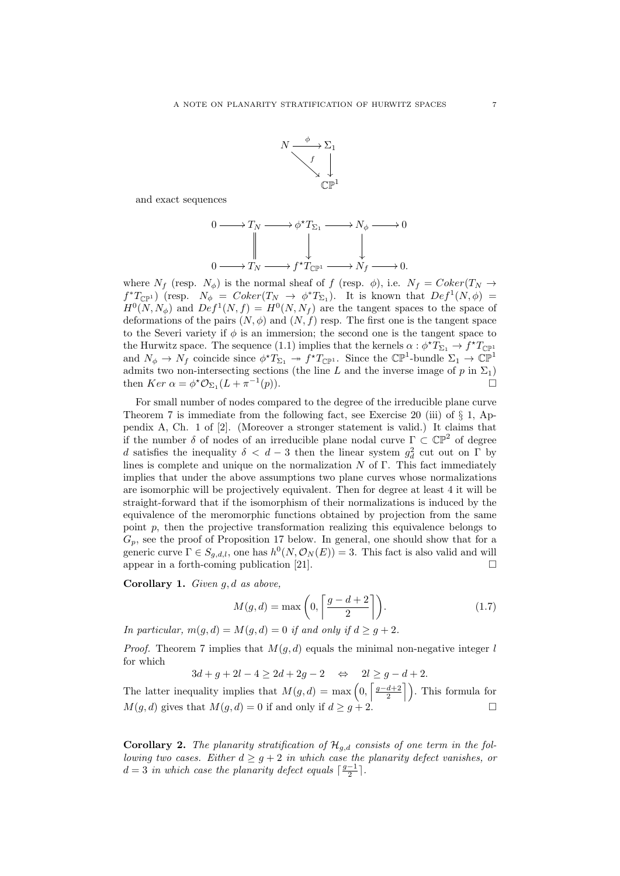

and exact sequences

$$
\begin{array}{ccc}\n0 & \longrightarrow T_N & \longrightarrow & \phi^* T_{\Sigma_1} & \longrightarrow & N_\phi & \longrightarrow & 0 \\
\parallel & & \downarrow & & \downarrow & \\
0 & \longrightarrow T_N & \longrightarrow & f^* T_{\mathbb{CP}^1} & \longrightarrow & N_f & \longrightarrow & 0.\n\end{array}
$$

where  $N_f$  (resp.  $N_{\phi}$ ) is the normal sheaf of f (resp.  $\phi$ ), i.e.  $N_f = Coker(T_N \rightarrow$  $f^*T_{\mathbb{CP}^1}$  (resp.  $N_\phi = Coker(T_N \to \phi^*T_{\Sigma_1})$ ). It is known that  $Def^1(N, \phi)$  =  $H^0(N, N_\phi)$  and  $Def^1(N, f) = H^0(N, N_f)$  are the tangent spaces to the space of deformations of the pairs  $(N, \phi)$  and  $(N, f)$  resp. The first one is the tangent space to the Severi variety if  $\phi$  is an immersion; the second one is the tangent space to the Hurwitz space. The sequence (1.1) implies that the kernels  $\alpha : \phi^* T_{\Sigma_1} \to f^* T_{\mathbb{CP}^1}$ and  $N_{\phi} \to N_f$  coincide since  $\phi^* T_{\Sigma_1} \to f^* T_{\mathbb{CP}^1}$ . Since the  $\mathbb{CP}^1$ -bundle  $\Sigma_1 \to \mathbb{CP}^1$ admits two non-intersecting sections (the line L and the inverse image of p in  $\Sigma_1$ ) then  $Ker \alpha = \phi^* \mathcal{O}_{\Sigma_1}(L + \pi^{-1})$  $(p).$ 

For small number of nodes compared to the degree of the irreducible plane curve Theorem 7 is immediate from the following fact, see Exercise 20 (iii) of  $\S 1$ , Appendix A, Ch. 1 of [2]. (Moreover a stronger statement is valid.) It claims that if the number  $\delta$  of nodes of an irreducible plane nodal curve  $\Gamma \subset \mathbb{CP}^2$  of degree d satisfies the inequality  $\delta < d-3$  then the linear system  $g_d^2$  cut out on  $\Gamma$  by lines is complete and unique on the normalization  $N$  of  $\Gamma$ . This fact immediately implies that under the above assumptions two plane curves whose normalizations are isomorphic will be projectively equivalent. Then for degree at least 4 it will be straight-forward that if the isomorphism of their normalizations is induced by the equivalence of the meromorphic functions obtained by projection from the same point  $p$ , then the projective transformation realizing this equivalence belongs to  $G_p$ , see the proof of Proposition 17 below. In general, one should show that for a generic curve  $\Gamma \in S_{g,d,l}$ , one has  $h^0(N, \mathcal{O}_N(E)) = 3$ . This fact is also valid and will appear in a forth-coming publication [21].  $\square$ 

**Corollary 1.** Given  $g, d$  as above,

$$
M(g,d) = \max\left(0, \left\lceil \frac{g-d+2}{2} \right\rceil\right). \tag{1.7}
$$

In particular,  $m(q, d) = M(q, d) = 0$  if and only if  $d \geq q + 2$ .

*Proof.* Theorem 7 implies that  $M(q, d)$  equals the minimal non-negative integer l for which

 $3d + a + 2l - 4 > 2d + 2g - 2 \Leftrightarrow 2l \geq g - d + 2.$ 

The latter inequality implies that  $M(g, d) = \max\left(0, \left\lceil \frac{g-d+2}{2} \right\rceil\right)$ . This formula for  $M(g, d)$  gives that  $M(g, d) = 0$  if and only if  $d \ge g + 2$ .

**Corollary 2.** The planarity stratification of  $\mathcal{H}_{g,d}$  consists of one term in the following two cases. Either  $d \geq g + 2$  in which case the planarity defect vanishes, or  $d = 3$  in which case the planarity defect equals  $\lceil \frac{g-1}{2} \rceil$ .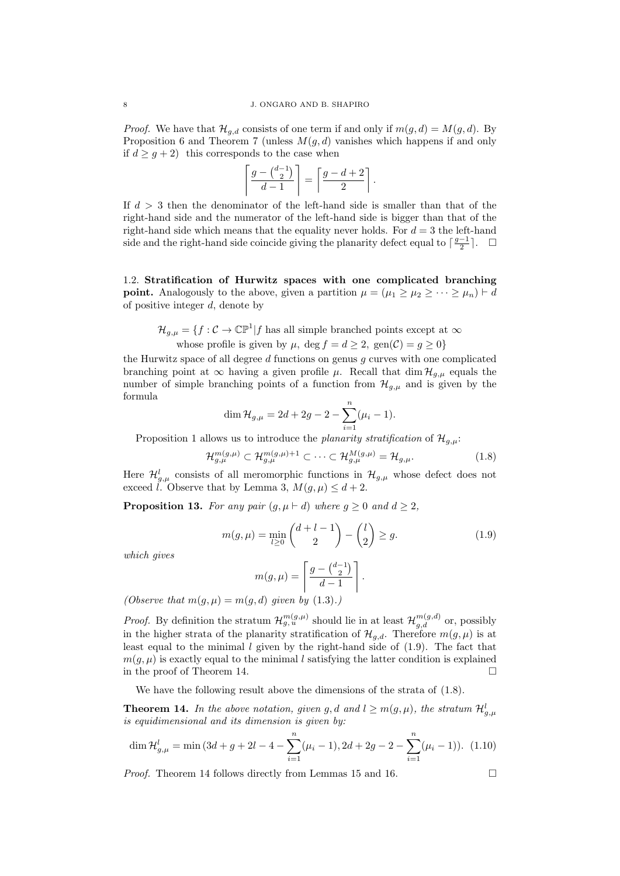*Proof.* We have that  $\mathcal{H}_{g,d}$  consists of one term if and only if  $m(g, d) = M(g, d)$ . By Proposition 6 and Theorem 7 (unless  $M(g, d)$  vanishes which happens if and only if  $d \geq g + 2$ ) this corresponds to the case when

$$
\left\lceil \frac{g - {d-1 \choose 2}}{d-1} \right\rceil = \left\lceil \frac{g-d+2}{2} \right\rceil.
$$

If  $d > 3$  then the denominator of the left-hand side is smaller than that of the right-hand side and the numerator of the left-hand side is bigger than that of the right-hand side which means that the equality never holds. For  $d = 3$  the left-hand side and the right-hand side coincide giving the planarity defect equal to  $\lceil \frac{g-1}{2} \rceil$ .  $\Box$ 

1.2. Stratification of Hurwitz spaces with one complicated branching **point.** Analogously to the above, given a partition  $\mu = (\mu_1 > \mu_2 > \cdots > \mu_n) \vdash d$ of positive integer d, denote by

 $\mathcal{H}_{g,\mu} = \{f : C \to \mathbb{CP}^1 | f \text{ has all simple branched points except at } \infty\}$ 

whose profile is given by 
$$
\mu
$$
,  $\deg f = d \geq 2$ ,  $\text{gen}(\mathcal{C}) = g \geq 0$ 

the Hurwitz space of all degree  $d$  functions on genus  $q$  curves with one complicated branching point at  $\infty$  having a given profile  $\mu$ . Recall that dim  $\mathcal{H}_{q,\mu}$  equals the number of simple branching points of a function from  $\mathcal{H}_{q,\mu}$  and is given by the formula

$$
\dim \mathcal{H}_{g,\mu} = 2d + 2g - 2 - \sum_{i=1}^{n} (\mu_i - 1).
$$

Proposition 1 allows us to introduce the planarity stratification of  $\mathcal{H}_{q,\mu}$ :

$$
\mathcal{H}_{g,\mu}^{m(g,\mu)} \subset \mathcal{H}_{g,\mu}^{m(g,\mu)+1} \subset \cdots \subset \mathcal{H}_{g,\mu}^{M(g,\mu)} = \mathcal{H}_{g,\mu}.
$$
\n(1.8)

Here  $\mathcal{H}_{g,\mu}^{l}$  consists of all meromorphic functions in  $\mathcal{H}_{g,\mu}$  whose defect does not exceed l. Observe that by Lemma 3,  $M(q, \mu) \leq d+2$ .

**Proposition 13.** For any pair  $(g, \mu \vdash d)$  where  $g \geq 0$  and  $d \geq 2$ ,

$$
m(g,\mu) = \min_{l \ge 0} \binom{d+l-1}{2} - \binom{l}{2} \ge g. \tag{1.9}
$$

which gives

$$
m(g,\mu) = \left[\frac{g - {d-1 \choose 2}}{d-1}\right].
$$
  
and *given by (1,3)*

(Observe that  $m(g, \mu) = m(g, d)$  given by  $(1.3).$ )

*Proof.* By definition the stratum  $\mathcal{H}_{g,u}^{m(g,\mu)}$  should lie in at least  $\mathcal{H}_{g,d}^{m(g,d)}$  or, possibly in the higher strata of the planarity stratification of  $\mathcal{H}_{q,d}$ . Therefore  $m(q,\mu)$  is at least equal to the minimal l given by the right-hand side of  $(1.9)$ . The fact that  $m(q, \mu)$  is exactly equal to the minimal l satisfying the latter condition is explained in the proof of Theorem 14.  $\Box$ 

We have the following result above the dimensions of the strata of (1.8).

**Theorem 14.** In the above notation, given g, d and  $l \geq m(g, \mu)$ , the stratum  $\mathcal{H}_{g,\mu}^l$ is equidimensional and its dimension is given by:

$$
\dim \mathcal{H}_{g,\mu}^{l} = \min (3d + g + 2l - 4 - \sum_{i=1}^{n} (\mu_i - 1), 2d + 2g - 2 - \sum_{i=1}^{n} (\mu_i - 1)). \tag{1.10}
$$

*Proof.* Theorem 14 follows directly from Lemmas 15 and 16.  $\Box$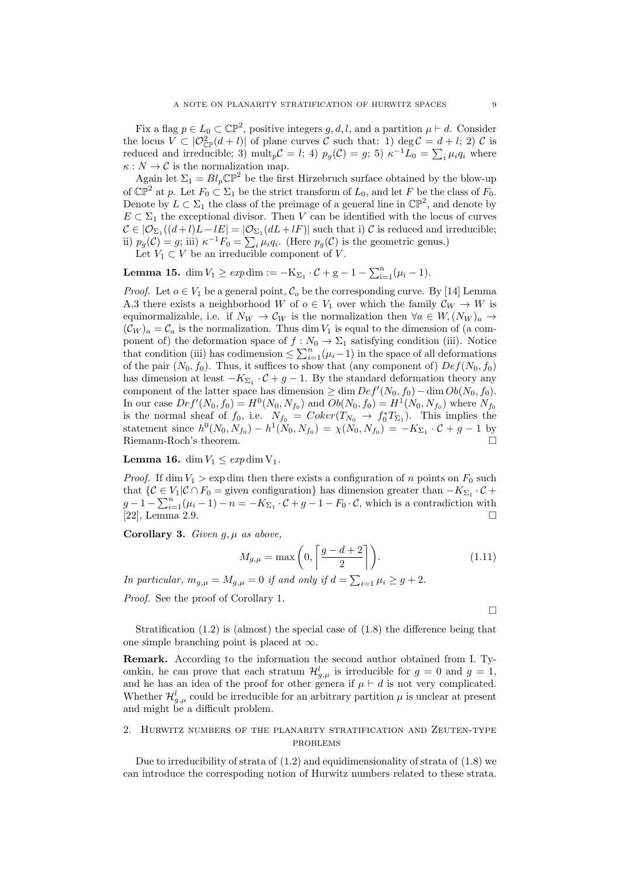Fix a flag  $p \in L_0 \subset \mathbb{CP}^2$ , positive integers  $g, d, l$ , and a partition  $\mu \vdash d$ . Consider the locus  $V \subset |\mathcal{O}_{\mathbb{CP}}^2(d+l)|$  of plane curves C such that: 1) deg  $\mathcal{C} = d+l; 2 \in \mathcal{C}$  is reduced and irreducible; 3)  $\text{mult}_{p}C = l$ ; 4)  $p_g(C) = g$ ; 5)  $\kappa^{-1}L_0 = \sum_{i} \mu_i q_i$  where  $\kappa : N \to \mathcal{C}$  is the normalization map.

Again let  $\Sigma_1 = Bl_p \mathbb{CP}^2$  be the first Hirzebruch surface obtained by the blow-up of  $\mathbb{CP}^2$  at p. Let  $F_0 \subset \Sigma_1$  be the strict transform of  $L_0$ , and let F be the class of  $F_0$ . Denote by  $L \subset \Sigma_1$  the class of the preimage of a general line in  $\mathbb{CP}^2$ , and denote by  $E \subset \Sigma_1$  the exceptional divisor. Then V can be identified with the locus of curves  $\mathcal{C} \in |\mathcal{O}_{\Sigma_1}((d+l)L-lE|=|\mathcal{O}_{\Sigma_1}(dL+lF)|$  such that i)  $\mathcal C$  is reduced and irreducible; ii)  $p_g(\mathcal{C}) = g$ ; iii)  $\kappa^{-1} F_0 = \sum_i \mu_i q_i$ . (Here  $p_g(\mathcal{C})$  is the geometric genus.) Let  $V_1 \subset V$  be an irreducible component of V.

**Lemma 15.** dim  $V_1 \geq exp \dim := -K_{\Sigma_1} \cdot C + g - 1 - \sum_{i=1}^n (\mu_i - 1)$ .

*Proof.* Let  $o \in V_1$  be a general point,  $C_o$  be the corresponding curve. By [14] Lemma A.3 there exists a neighborhood W of  $o \in V_1$  over which the family  $\mathcal{C}_W \to W$  is equinormalizable, i.e. if  $N_W \to C_W$  is the normalization then  $\forall a \in W, (N_W)_a \to$  $(\mathcal{C}_W)_a = \mathcal{C}_a$  is the normalization. Thus dim  $V_1$  is equal to the dimension of (a component of) the deformation space of  $f : N_0 \to \Sigma_1$  satisfying condition (iii). Notice that condition (iii) has codimension  $\leq \sum_{i=1}^{n} (\mu_i - 1)$  in the space of all deformations of the pair  $(N_0, f_0)$ . Thus, it suffices to show that (any component of)  $Def(N_0, f_0)$ has dimension at least  $-K_{\Sigma_1} \cdot C + g - 1$ . By the standard deformation theory any component of the latter space has dimension  $\geq \dim Def'(N_0, f_0) - \dim Ob(N_0, f_0)$ . In our case  $Def'(N_0, f_0) = H^0(N_0, N_{f_0})$  and  $Ob(N_0, f_0) = H^1(N_0, N_{f_0})$  where  $N_{f_0}$ is the normal sheaf of  $f_0$ , i.e.  $N_{f_0} = Coker(T_{N_0} \rightarrow f_0^* T_{\Sigma_1})$ . This implies the statement since  $h^0(N_0, N_{f_0}) - h^1(N_0, N_{f_0}) = \chi(N_0, N_{f_0}) = -K_{\Sigma_1} \cdot C + g - 1$  by Riemann-Roch's theorem.

**Lemma 16.** dim  $V_1 \n\leq exp \dim V_1$ .

*Proof.* If dim  $V_1 > \exp \dim$  then there exists a configuration of n points on  $F_0$  such that  $\{C \in V_1 | C \cap F_0 = \text{given configuration}\}$  has dimension greater than  $-K_{\Sigma_1} \cdot C +$  $g-1-\sum_{i=1}^n(\mu_i-1)-n=-K_{\Sigma_1}\cdot\mathcal{C}+g-1-F_0\cdot\mathcal{C}$ , which is a contradiction with [22], Lemma 2.9.

Corollary 3. Given  $q, \mu$  as above,

$$
M_{g,\mu} = \max\left(0, \left\lceil \frac{g - d + 2}{2} \right\rceil\right). \tag{1.11}
$$

In particular,  $m_{g,\mu} = M_{g,\mu} = 0$  if and only if  $d = \sum_{i=1} \mu_i \ge g+2$ .

Proof. See the proof of Corollary 1.

 $\Box$ 

Stratification (1.2) is (almost) the special case of (1.8) the difference being that one simple branching point is placed at  $\infty$ .

Remark. According to the information the second author obtained from I. Tyomkin, he can prove that each stratum  $\mathcal{H}_{g,\mu}^{l}$  is irreducible for  $g = 0$  and  $g = 1$ , and he has an idea of the proof for other genera if  $\mu \vdash d$  is not very complicated. Whether  $\mathcal{H}_{g,\mu}^{l}$  could be irreducible for an arbitrary partition  $\mu$  is unclear at present and might be a difficult problem.

# 2. Hurwitz numbers of the planarity stratification and Zeuten-type problems

Due to irreducibility of strata of (1.2) and equidimensionality of strata of (1.8) we can introduce the correspoding notion of Hurwitz numbers related to these strata.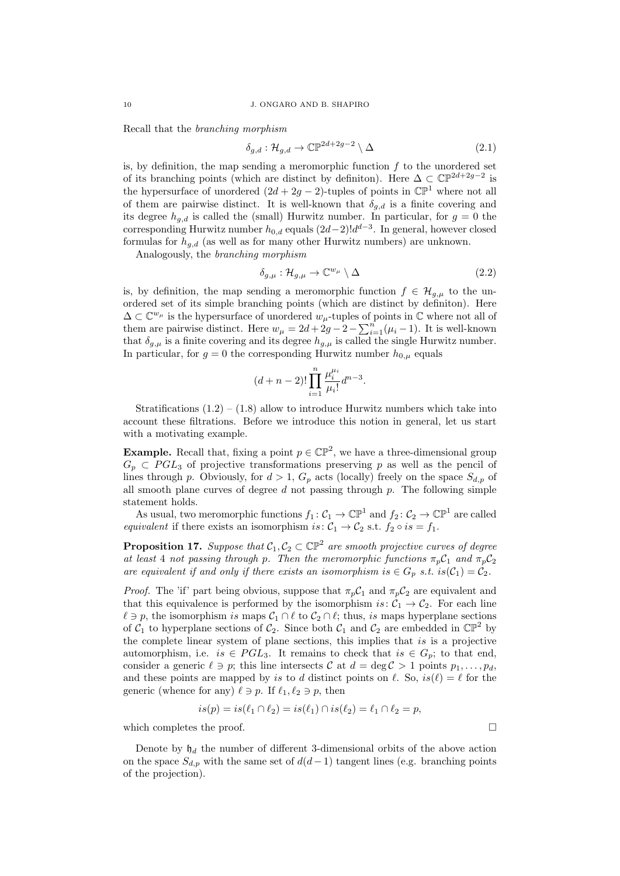Recall that the branching morphism

$$
\delta_{g,d} : \mathcal{H}_{g,d} \to \mathbb{CP}^{2d+2g-2} \setminus \Delta \tag{2.1}
$$

is, by definition, the map sending a meromorphic function  $f$  to the unordered set of its branching points (which are distinct by definition). Here  $\Delta \subset \mathbb{CP}^{2d+2g-2}$  is the hypersurface of unordered  $(2d + 2g - 2)$ -tuples of points in  $\mathbb{CP}^1$  where not all of them are pairwise distinct. It is well-known that  $\delta_{q,d}$  is a finite covering and its degree  $h_{g,d}$  is called the (small) Hurwitz number. In particular, for  $g=0$  the corresponding Hurwitz number  $h_{0,d}$  equals  $(2d-2)!d^{d-3}$ . In general, however closed formulas for  $h_{q,d}$  (as well as for many other Hurwitz numbers) are unknown.

Analogously, the branching morphism

$$
\delta_{g,\mu} : \mathcal{H}_{g,\mu} \to \mathbb{C}^{w_{\mu}} \setminus \Delta \tag{2.2}
$$

is, by definition, the map sending a meromorphic function  $f \in \mathcal{H}_{q,\mu}$  to the unordered set of its simple branching points (which are distinct by definiton). Here  $\Delta \subset \mathbb{C}^{w_{\mu}}$  is the hypersurface of unordered  $w_{\mu}$ -tuples of points in  $\mathbb C$  where not all of them are pairwise distinct. Here  $w_{\mu} = 2d + 2g - 2 - \sum_{i=1}^{n} (\mu_i - 1)$ . It is well-known that  $\delta_{g,\mu}$  is a finite covering and its degree  $h_{g,\mu}$  is called the single Hurwitz number. In particular, for  $g = 0$  the corresponding Hurwitz number  $h_{0,\mu}$  equals

$$
(d+n-2)!\prod_{i=1}^n \frac{\mu_i^{\mu_i}}{\mu_i!}d^{n-3}.
$$

Stratifications  $(1.2) - (1.8)$  allow to introduce Hurwitz numbers which take into account these filtrations. Before we introduce this notion in general, let us start with a motivating example.

**Example.** Recall that, fixing a point  $p \in \mathbb{CP}^2$ , we have a three-dimensional group  $G_p \subset PGL_3$  of projective transformations preserving p as well as the pencil of lines through p. Obviously, for  $d > 1$ ,  $G_p$  acts (locally) freely on the space  $S_{d,p}$  of all smooth plane curves of degree  $d$  not passing through  $p$ . The following simple statement holds.

As usual, two meromorphic functions  $f_1: C_1 \to \mathbb{CP}^1$  and  $f_2: C_2 \to \mathbb{CP}^1$  are called equivalent if there exists an isomorphism is:  $C_1 \rightarrow C_2$  s.t.  $f_2 \circ is = f_1$ .

**Proposition 17.** Suppose that  $C_1, C_2 \subset \mathbb{CP}^2$  are smooth projective curves of degree at least 4 not passing through p. Then the meromorphic functions  $\pi_p C_1$  and  $\pi_p C_2$ are equivalent if and only if there exists an isomorphism is  $\in G_p$  s.t. is $(\mathcal{C}_1) = \mathcal{C}_2$ .

*Proof.* The 'if' part being obvious, suppose that  $\pi_p C_1$  and  $\pi_p C_2$  are equivalent and that this equivalence is performed by the isomorphism is:  $C_1 \rightarrow C_2$ . For each line  $\ell \ni p$ , the isomorphism is maps  $C_1 \cap \ell$  to  $C_2 \cap \ell$ ; thus, is maps hyperplane sections of  $C_1$  to hyperplane sections of  $C_2$ . Since both  $C_1$  and  $C_2$  are embedded in  $\mathbb{CP}^2$  by the complete linear system of plane sections, this implies that is is a projective automorphism, i.e. is  $\in PGL_3$ . It remains to check that is  $\in G_p$ ; to that end, consider a generic  $\ell \ni p$ ; this line intersects C at  $d = \deg C > 1$  points  $p_1, \ldots, p_d$ . and these points are mapped by is to d distinct points on  $\ell$ . So,  $is(\ell) = \ell$  for the generic (whence for any)  $\ell \ni p$ . If  $\ell_1, \ell_2 \ni p$ , then

$$
is(p) = is(\ell_1 \cap \ell_2) = is(\ell_1) \cap is(\ell_2) = \ell_1 \cap \ell_2 = p,
$$

which completes the proof.  $\Box$ 

Denote by  $\mathfrak{h}_d$  the number of different 3-dimensional orbits of the above action on the space  $S_{d,p}$  with the same set of  $d(d-1)$  tangent lines (e.g. branching points of the projection).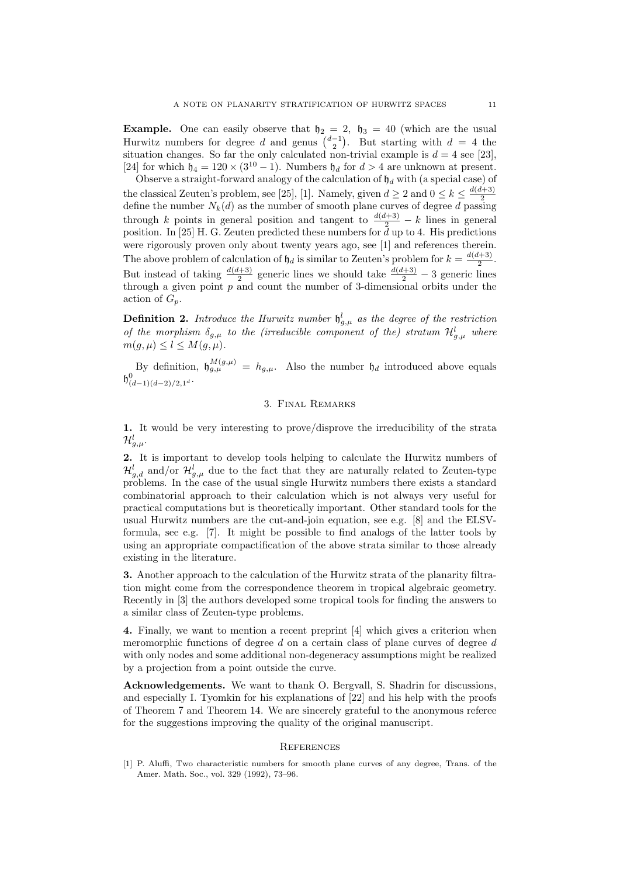**Example.** One can easily observe that  $h_2 = 2$ ,  $h_3 = 40$  (which are the usual Hurwitz numbers for degree d and genus  $\binom{d-1}{2}$ . But starting with  $d = 4$  the situation changes. So far the only calculated non-trivial example is  $d = 4$  see [23]. [24] for which  $\mathfrak{h}_4 = 120 \times (3^{10} - 1)$ . Numbers  $\mathfrak{h}_d$  for  $d > 4$  are unknown at present.

Observe a straight-forward analogy of the calculation of  $\mathfrak{h}_d$  with (a special case) of the classical Zeuten's problem, see [25], [1]. Namely, given  $d \geq 2$  and  $0 \leq k \leq \frac{d(d+3)}{2}$ 2 define the number  $N_k(d)$  as the number of smooth plane curves of degree d passing through k points in general position and tangent to  $\frac{d(d+3)}{2} - k$  lines in general position. In [25] H. G. Zeuten predicted these numbers for  $\bar{d}$  up to 4. His predictions were rigorously proven only about twenty years ago, see [1] and references therein. The above problem of calculation of  $\mathfrak{h}_d$  is similar to Zeuten's problem for  $k = \frac{d(d+3)}{2}$ . But instead of taking  $\frac{d(d+3)}{2}$  generic lines we should take  $\frac{d(d+3)}{2}$  – 3 generic lines through a given point  $p$  and count the number of 3-dimensional orbits under the action of  $G_p$ .

**Definition 2.** Introduce the Hurwitz number  $\mathfrak{h}_{g,\mu}^{l}$  as the degree of the restriction of the morphism  $\delta_{g,\mu}$  to the (irreducible component of the) stratum  $\mathcal{H}_{g,\mu}^{l}$  where  $m(g, \mu) \leq l \leq M(g, \mu).$ 

By definition,  $\mathfrak{h}_{g,\mu}^{M(g,\mu)} = h_{g,\mu}$ . Also the number  $\mathfrak{h}_d$  introduced above equals  $\mathfrak{h}^0_{(d-1)(d-2)/2,1^d}$ .

# 3. Final Remarks

1. It would be very interesting to prove/disprove the irreducibility of the strata  $\mathcal{H}_{g,\mu}^l.$ 

2. It is important to develop tools helping to calculate the Hurwitz numbers of  $\mathcal{H}_{g,d}^{l}$  and/or  $\mathcal{H}_{g,\mu}^{l}$  due to the fact that they are naturally related to Zeuten-type problems. In the case of the usual single Hurwitz numbers there exists a standard combinatorial approach to their calculation which is not always very useful for practical computations but is theoretically important. Other standard tools for the usual Hurwitz numbers are the cut-and-join equation, see e.g. [8] and the ELSVformula, see e.g. [7]. It might be possible to find analogs of the latter tools by using an appropriate compactification of the above strata similar to those already existing in the literature.

3. Another approach to the calculation of the Hurwitz strata of the planarity filtration might come from the correspondence theorem in tropical algebraic geometry. Recently in [3] the authors developed some tropical tools for finding the answers to a similar class of Zeuten-type problems.

4. Finally, we want to mention a recent preprint [4] which gives a criterion when meromorphic functions of degree  $d$  on a certain class of plane curves of degree  $d$ with only nodes and some additional non-degeneracy assumptions might be realized by a projection from a point outside the curve.

Acknowledgements. We want to thank O. Bergvall, S. Shadrin for discussions, and especially I. Tyomkin for his explanations of [22] and his help with the proofs of Theorem 7 and Theorem 14. We are sincerely grateful to the anonymous referee for the suggestions improving the quality of the original manuscript.

### **REFERENCES**

[1] P. Aluffi, Two characteristic numbers for smooth plane curves of any degree, Trans. of the Amer. Math. Soc., vol. 329 (1992), 73–96.